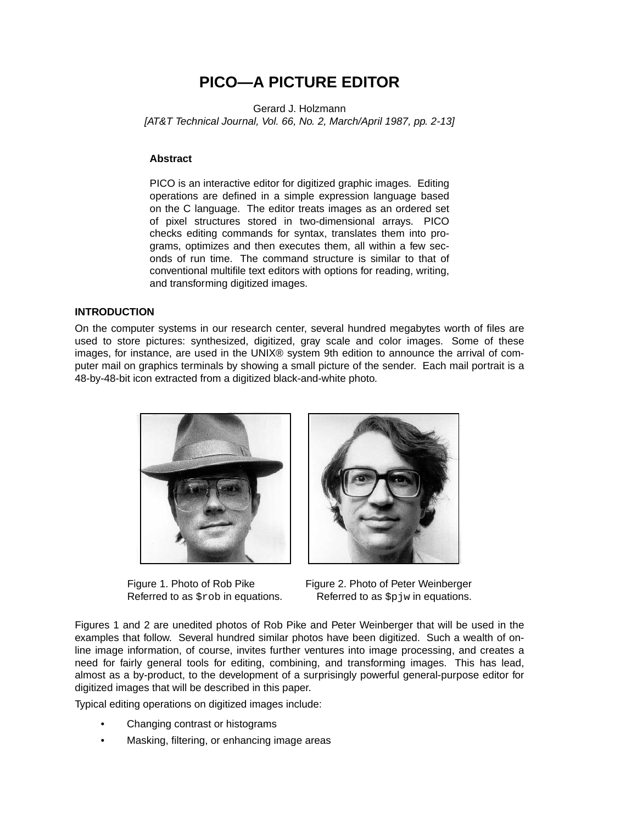# **PICO—A PICTURE EDITOR**

Gerard J. Holzmann [AT&T Technical Journal, Vol. 66, No. 2, March/April 1987, pp. 2-13]

#### **Abstract**

PICO is an interactive editor for digitized graphic images. Editing operations are defined in a simple expression language based on the C language. The editor treats images as an ordered set of pixel structures stored in two-dimensional arrays. PICO checks editing commands for syntax, translates them into programs, optimizes and then executes them, all within a few seconds of run time. The command structure is similar to that of conventional multifile text editors with options for reading, writing, and transforming digitized images.

## **INTRODUCTION**

On the computer systems in our research center, several hundred megabytes worth of files are used to store pictures: synthesized, digitized, gray scale and color images. Some of these images, for instance, are used in the UNIX® system 9th edition to announce the arrival of computer mail on graphics terminals by showing a small picture of the sender. Each mail portrait is a 48-by-48-bit icon extracted from a digitized black-and-white photo.



Figure 1. Photo of Rob Pike Figure 2. Photo of Peter Weinberger



Referred to as  $$rob$  in equations. Referred to as  $$p_j$  in equations.

Figures 1 and 2 are unedited photos of Rob Pike and Peter Weinberger that will be used in the examples that follow. Several hundred similar photos have been digitized. Such a wealth of online image information, of course, invites further ventures into image processing, and creates a need for fairly general tools for editing, combining, and transforming images. This has lead, almost as a by-product, to the development of a surprisingly powerful general-purpose editor for digitized images that will be described in this paper.

Typical editing operations on digitized images include:

- Changing contrast or histograms
- Masking, filtering, or enhancing image areas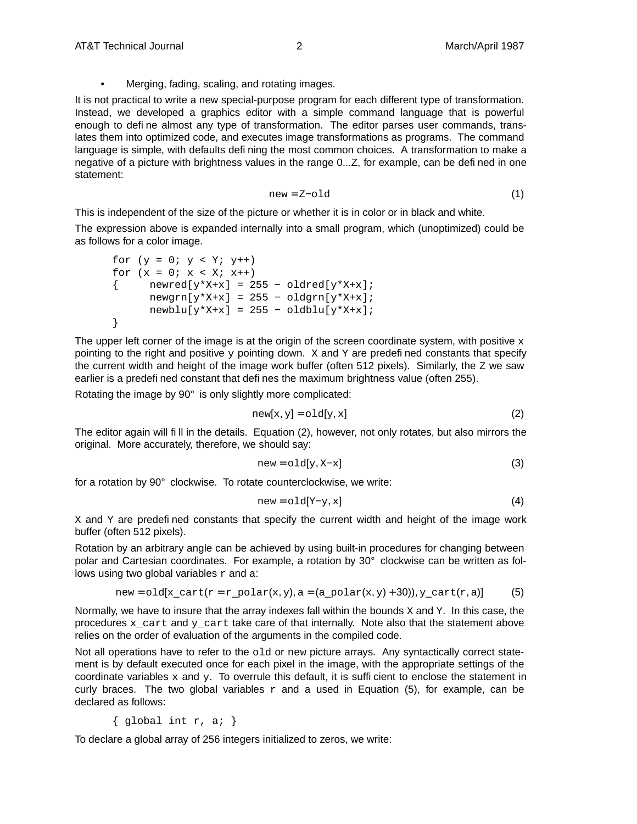• Merging, fading, scaling, and rotating images.

It is not practical to write a new special-purpose program for each different type of transformation. Instead, we developed a graphics editor with a simple command language that is powerful enough to define almost any type of transformation. The editor parses user commands, translates them into optimized code, and executes image transformations as programs. The command language is simple, with defaults defining the most common choices. A transformation to make a negative of a picture with brightness values in the range 0... Z, for example, can be defined in one statement:

$$
new = Z - old \tag{1}
$$

This is independent of the size of the picture or whether it is in color or in black and white.

The expression above is expanded internally into a small program, which (unoptimized) could be as follows for a color image.

```
for (y = 0; y < Y; y++)for (x = 0; x < X; x++)\left\{ \qquad \qquad {\rm newred} \lbrack \, {\rm y}^{\star}{\rm X} + {\rm x} \, \rbrack \; = \; 255 \; - \; {\rm oldred} \lbrack \, {\rm y}^{\star}{\rm X} + {\rm x} \, \rbrack \; ; \right.newgrn[y*x+x] = 255 - oldgrn[y*x+x];newblu[y*X+x] = 255 - oldblu[y*X+x];}
```
The upper left corner of the image is at the origin of the screen coordinate system, with positive  $x$ pointing to the right and positive  $\gamma$  pointing down.  $\chi$  and  $\gamma$  are predefined constants that specify the current width and height of the image work buffer (often 512 pixels). Similarly, the z we saw earlier is a predefined constant that defines the maximum brightness value (often 255).

Rotating the image by 90° is only slightly more complicated:

$$
new[x, y] = old[y, x]
$$
 (2)

The editor again will fill in the details. Equation (2), however, not only rotates, but also mirrors the original. More accurately, therefore, we should say:

$$
new = old[y, X-x]
$$
 (3)

for a rotation by 90° clockwise. To rotate counterclockwise, we write:

$$
new = old[Y - y, x] \tag{4}
$$

 $X$  and  $Y$  are predefined constants that specify the current width and height of the image work buffer (often 512 pixels).

Rotation by an arbitrary angle can be achieved by using built-in procedures for changing between polar and Cartesian coordinates. For example, a rotation by 30° clockwise can be written as follows using two global variables  $r$  and a:

$$
new = old[x_cart(r = r\_polar(x, y), a = (a_polar(x, y) + 30)), y_cart(r, a)]
$$
 (5)

Normally, we have to insure that the array indexes fall within the bounds  $x$  and  $y$ . In this case, the procedures  $x$  cart and  $y$  cart take care of that internally. Note also that the statement above relies on the order of evaluation of the arguments in the compiled code.

Not all operations have to refer to the old or new picture arrays. Any syntactically correct statement is by default executed once for each pixel in the image, with the appropriate settings of the coordinate variables  $x$  and  $y$ . To overrule this default, it is sufficient to enclose the statement in curly braces. The two global variables  $r$  and a used in Equation (5), for example, can be declared as follows:

```
{ global int r, a; }
```
To declare a global array of 256 integers initialized to zeros, we write: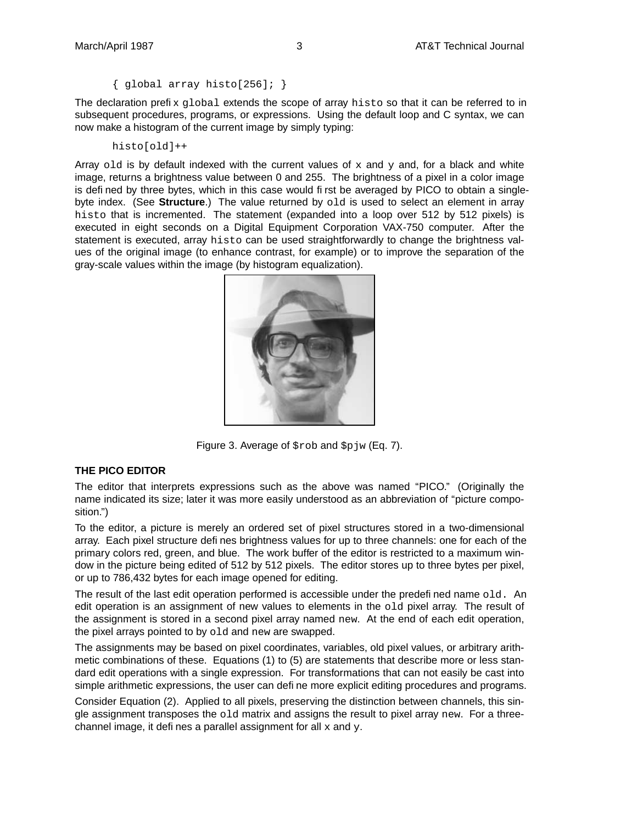```
\{ global array histo[256]; \}
```
The declaration prefix global extends the scope of array histo so that it can be referred to in subsequent procedures, programs, or expressions. Using the default loop and C syntax, we can now make a histogram of the current image by simply typing:

histo[old]++

Array old is by default indexed with the current values of  $x$  and  $y$  and, for a black and white image, returns a brightness value between 0 and 255. The brightness of a pixel in a color image is defined by three bytes, which in this case would first be averaged by PICO to obtain a singlebyte index. (See **Structure**.) The value returned by old is used to select an element in array histo that is incremented. The statement (expanded into a loop over 512 by 512 pixels) is executed in eight seconds on a Digital Equipment Corporation VAX-750 computer. After the statement is executed, array histo can be used straightforwardly to change the brightness values of the original image (to enhance contrast, for example) or to improve the separation of the gray-scale values within the image (by histogram equalization).



Figure 3. Average of \$rob and \$pjw (Eq. 7).

# **THE PICO EDITOR**

The editor that interprets expressions such as the above was named "PICO." (Originally the name indicated its size; later it was more easily understood as an abbreviation of ''picture composition.'')

To the editor, a picture is merely an ordered set of pixel structures stored in a two-dimensional array. Each pixel structure defines brightness values for up to three channels: one for each of the primary colors red, green, and blue. The work buffer of the editor is restricted to a maximum window in the picture being edited of 512 by 512 pixels. The editor stores up to three bytes per pixel, or up to 786,432 bytes for each image opened for editing.

The result of the last edit operation performed is accessible under the predefined name  $\text{o}1d$ . An edit operation is an assignment of new values to elements in the old pixel array. The result of the assignment is stored in a second pixel array named new. At the end of each edit operation, the pixel arrays pointed to by old and new are swapped.

The assignments may be based on pixel coordinates, variables, old pixel values, or arbitrary arithmetic combinations of these. Equations (1) to (5) are statements that describe more or less standard edit operations with a single expression. For transformations that can not easily be cast into simple arithmetic expressions, the user can define more explicit editing procedures and programs.

Consider Equation (2). Applied to all pixels, preserving the distinction between channels, this single assignment transposes the  $old$  matrix and assigns the result to pixel array new. For a threechannel image, it defines a parallel assignment for all  $x$  and  $y$ .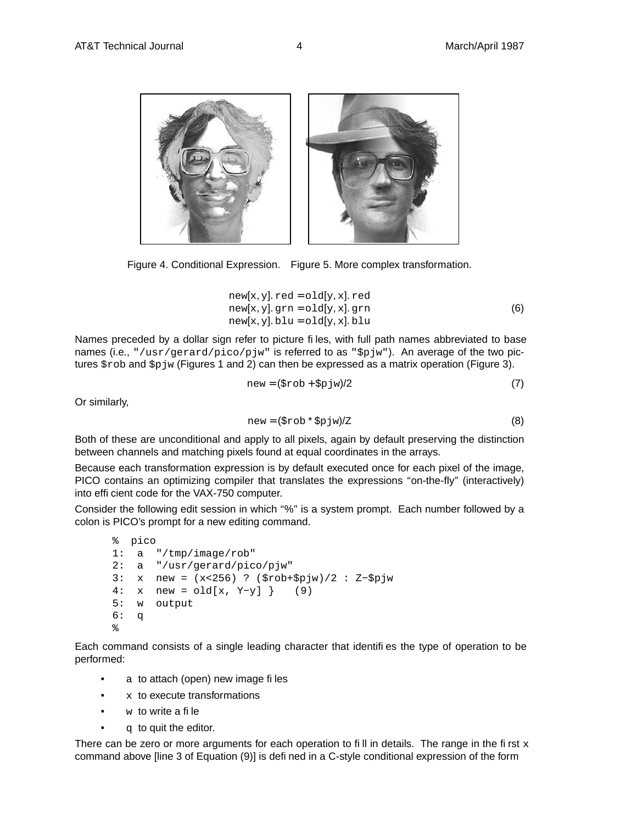

Figure 4. Conditional Expression. Figure 5. More complex transformation.

$$
new[x, y]. red = old[y, x]. red
$$
  
\n
$$
new[x, y]. gm = old[y, x]. gm
$$
  
\n
$$
new[x, y]. blu = old[y, x]. blu
$$
  
\n(6)

Names preceded by a dollar sign refer to picture files, with full path names abbreviated to base names (i.e., "/usr/gerard/pico/pjw" is referred to as "\$pjw"). An average of the two pictures  $\frac{1}{2}$  and  $\frac{1}{2}$   $\frac{1}{2}$  (Figures 1 and 2) can then be expressed as a matrix operation (Figure 3).

$$
new = (\text{frob} + \text{fpi})/2 \tag{7}
$$

Or similarly,

$$
new = (\text{Prob} * \text{Sp} jw)/Z \tag{8}
$$

Both of these are unconditional and apply to all pixels, again by default preserving the distinction between channels and matching pixels found at equal coordinates in the arrays.

Because each transformation expression is by default executed once for each pixel of the image, PICO contains an optimizing compiler that translates the expressions "on-the-fly" (interactively) into effi cient code for the VAX-750 computer.

Consider the following edit session in which "%" is a system prompt. Each number followed by a colon is PICO's prompt for a new editing command.

```
% pico
1: a "/tmp/image/rob"
2: a "/usr/gerard/pico/pjw"
3: x new = (x<256) ? ($rob+$pjw)/2 : Z−$pjw
4: x new = old[x, Y−y] } (9)
5: w output
6: q
%
```
Each command consists of a single leading character that identifies the type of operation to be performed:

- a to attach (open) new image files
- $x$  to execute transformations
- w to write a file
- $q$  to quit the editor.

There can be zero or more arguments for each operation to fill in details. The range in the first  $x$ command above [line 3 of Equation (9)] is defined in a C-style conditional expression of the form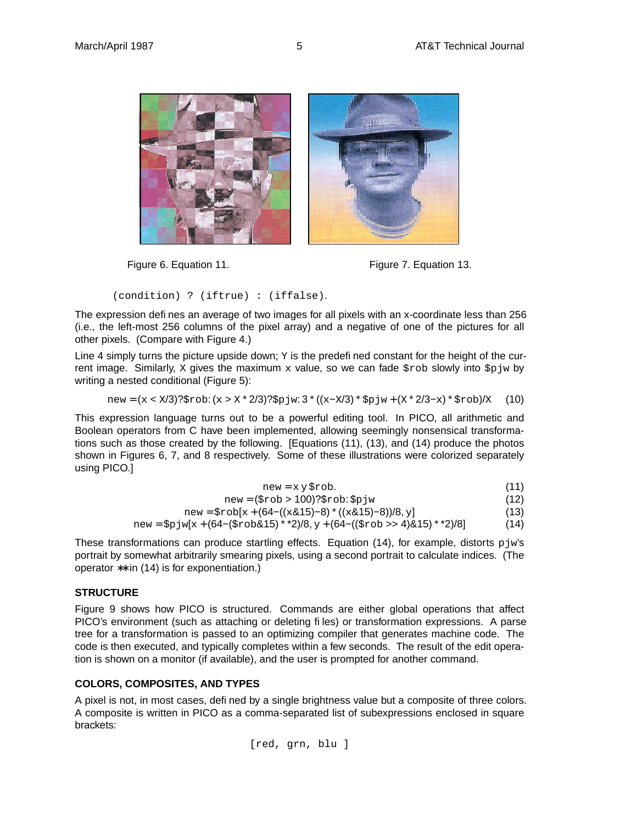



Figure 6. Equation 11. The same of the Figure 7. Equation 13.

(condition) ? (iftrue) : (iffalse).

The expression defines an average of two images for all pixels with an x-coordinate less than 256 (i.e., the left-most 256 columns of the pixel array) and a negative of one of the pictures for all other pixels. (Compare with Figure 4.)

Line 4 simply turns the picture upside down;  $Y$  is the predefined constant for the height of the current image. Similarly, x gives the maximum x value, so we can fade  $$rob$  slowly into  $$p^+p$  by writing a nested conditional (Figure 5):

$$
new = (x < x/3)?\$ \text{rob}: (x > x * 2/3)?\$ \text{pb}: 3 * ((x-x/3) * \$ \text{pb} + (x * 2/3 - x) * \$ \text{rob})/x \tag{10}
$$

This expression language turns out to be a powerful editing tool. In PICO, all arithmetic and Boolean operators from C have been implemented, allowing seemingly nonsensical transformations such as those created by the following. [Equations (11), (13), and (14) produce the photos shown in Figures 6, 7, and 8 respectively. Some of these illustrations were colorized separately using PICO.]

$$
new = xy \$ \text{rob.}
$$
 (11)

$$
new = (\text{Prob} > 100)? \text{Prob:} \text{Sp} \text{jw}
$$
 (12)

$$
new = $rob[x + (64 - ((x&15) - 8) * ((x&15) - 8))/8, y]
$$
\n(13)

$$
new = $p j w [x + (64 - ($r \circ b815) * *2)/8, y + (64 - (($r \circ b > 4)815) * *2)/8]
$$
\n
$$
(14)
$$

These transformations can produce startling effects. Equation (14), for example, distorts  $p_jw's$ portrait by somewhat arbitrarily smearing pixels, using a second portrait to calculate indices. (The operator ∗∗ in (14) is for exponentiation.)

# **STRUCTURE**

Figure 9 shows how PICO is structured. Commands are either global operations that affect PICO's environment (such as attaching or deleting files) or transformation expressions. A parse tree for a transformation is passed to an optimizing compiler that generates machine code. The code is then executed, and typically completes within a few seconds. The result of the edit operation is shown on a monitor (if available), and the user is prompted for another command.

# **COLORS, COMPOSITES, AND TYPES**

A pixel is not, in most cases, defined byasingle brightness value but a composite of three colors. A composite is written in PICO as a comma-separated list of subexpressions enclosed in square brackets:

[red, grn, blu ]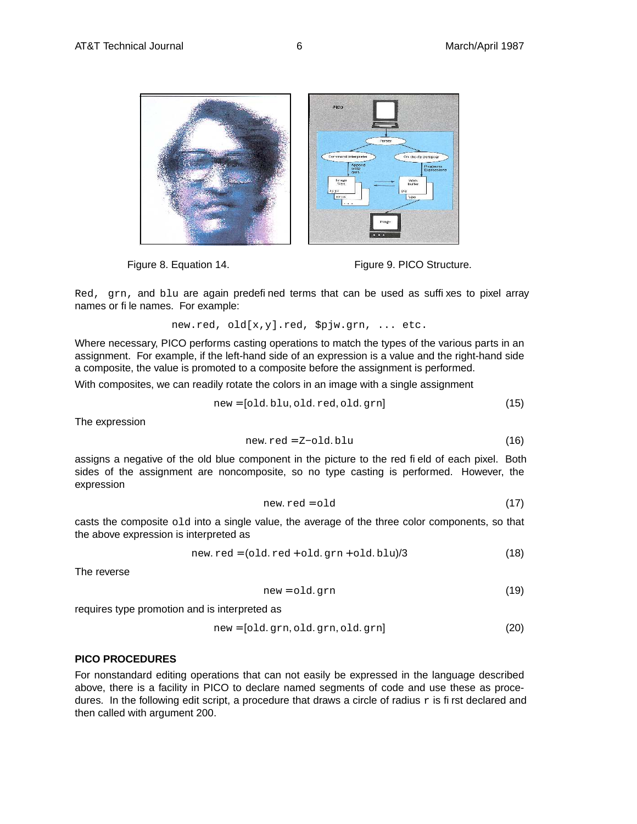

Figure 8. Equation 14. The State of Figure 9. PICO Structure.

Red, grn, and blu are again predefined terms that can be used as suffixes to pixel array names or file names. For example:

$$
new.read, old[x,y].red, $pjw.grn, ... etc.
$$

Where necessary, PICO performs casting operations to match the types of the various parts in an assignment. For example, if the left-hand side of an expression is a value and the right-hand side a composite, the value is promoted to a composite before the assignment is performed.

With composites, we can readily rotate the colors in an image with a single assignment

$$
new = [old.blu, old, red, old, grn]
$$
 (15)

The expression

$$
new.read = Z-old.blu
$$
 (16)

assigns a negative of the old blue component in the picture to the red field of each pixel. Both sides of the assignment are noncomposite, so no type casting is performed. However, the expression

$$
new. red = old
$$
 (17)

casts the composite old into a single value, the average of the three color components, so that the above expression is interpreted as

$$
new. red = (old. red + old. gm + old. blu)/3 \tag{18}
$$

The reverse

$$
new = old \, \text{grn} \tag{19}
$$

requires type promotion and is interpreted as

$$
new = [old, grn, old, grn, old, grn] \qquad (20)
$$

## **PICO PROCEDURES**

For nonstandard editing operations that can not easily be expressed in the language described above, there is a facility in PICO to declare named segments of code and use these as procedures. In the following edit script, a procedure that draws a circle of radius  $r$  is first declared and then called with argument 200.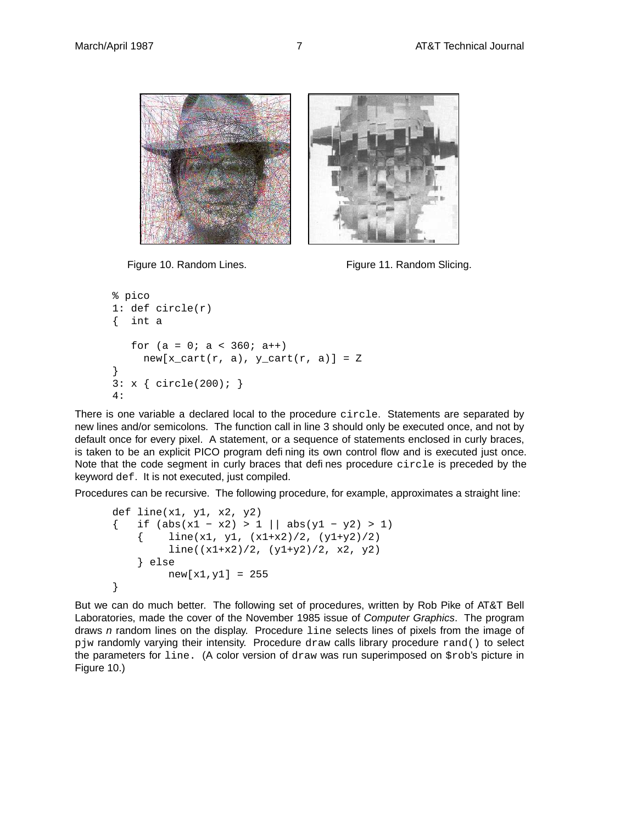



Figure 10. Random Lines. **Figure 11. Random Slicing.** 

```
% pico
1: def circle(r)
{ int a
   for (a = 0; a < 360; a++)new[x_cart(r, a), y_cart(r, a)] = Z}
3: x { circle(200); }
4:
```
There is one variable a declared local to the procedure circle. Statements are separated by new lines and/or semicolons. The function call in line 3 should only be executed once, and not by default once for every pixel. A statement, or a sequence of statements enclosed in curly braces, is taken to be an explicit PICO program defining its own control flow and is executed just once. Note that the code segment in curly braces that defines procedure circle is preceded by the keyword def. It is not executed, just compiled.

Procedures can be recursive. The following procedure, for example, approximates a straight line:

```
def line(x1, y1, x2, y2){ if (abs(x1 - x2) > 1 || abs(y1 - y2) > 1)line(x1, y1, (x1+x2)/2, (y1+y2)/2)line((x1+x2)/2, (y1+y2)/2, x2, y2)} else
        new[x1,y1] = 255}
```
But we can do much better. The following set of procedures, written by Rob Pike of AT&T Bell Laboratories, made the cover of the November 1985 issue of Computer Graphics. The program draws  $n$  random lines on the display. Procedure  $\text{line}$  selects lines of pixels from the image of  $p_j$  randomly varying their intensity. Procedure draw calls library procedure rand() to select the parameters for line. (A color version of draw was run superimposed on \$rob's picture in Figure 10.)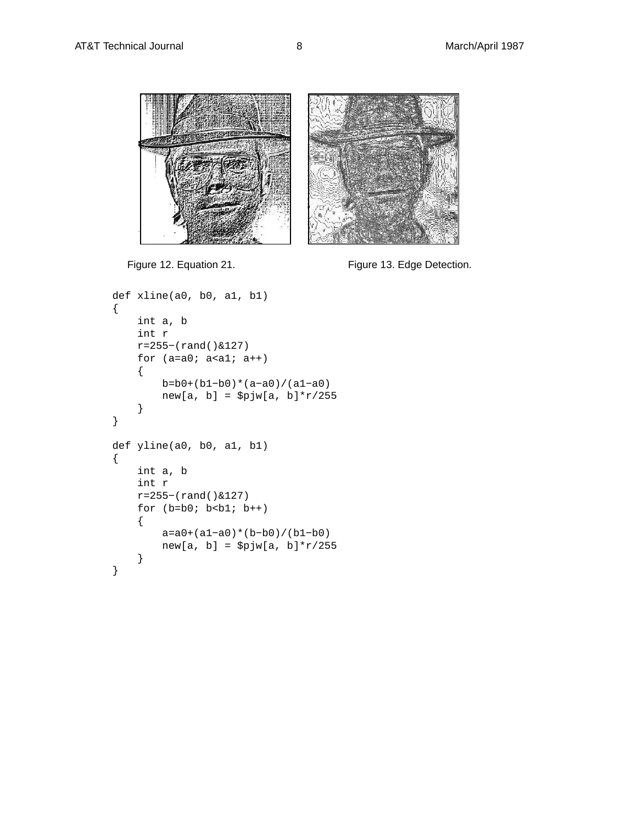

Figure 12. Equation 21. The Section of Figure 13. Edge Detection.

```
def xline(a0, b0, a1, b1)
\{int a, b
    int r
    r=255−(rand()&127)
    for (a=a); a<a1; a++)
    {
        b=b0+(b1−b0)*(a−a0)/(a1−a0)
        new[a, b] = $pjw[a, b]*r/255
    }
}
def yline(a0, b0, a1, b1)
{
    int a, b
    int r
    r=255−(rand()&127)
    for (b=b0; b<b>1</b>; b++){
        a=a0+(a1−a0)*(b−b0)/(b1−b0)
        new[a, b] = \text{Spjw}[a, b]*r/255
    }
}
```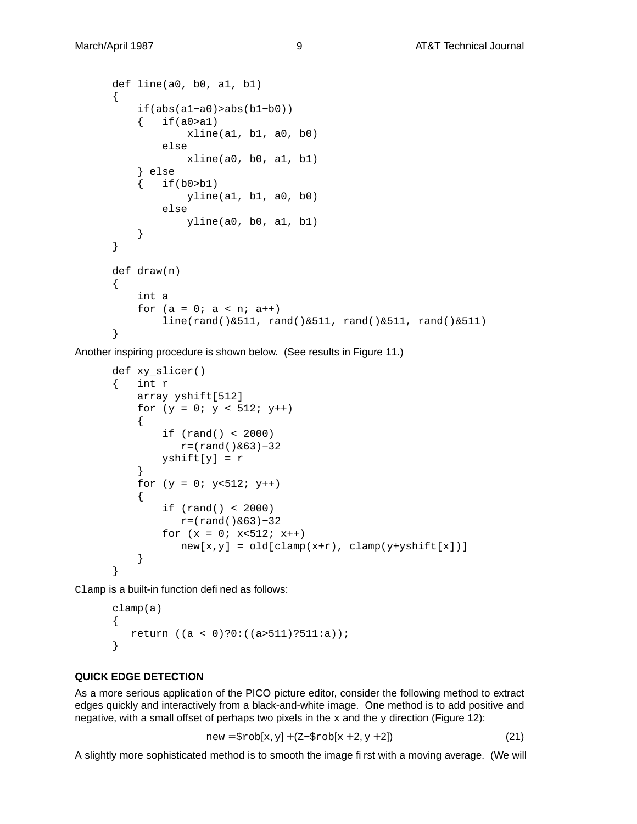```
def line(a0, b0, a1, b1)
{
    if(abs(a1−a0)>abs(b1−b0))
    \{ if(a0>a1)
            xline( a1, b1, a0, b0)else
            xline(a0, b0, a1, b1)
    } else
    { if(b0>b1)
            yline(a1, b1, a0, b0)
        else
            yline(a0, b0, a1, b1)
    }
}
def draw(n)
{
    int a
    for (a = 0; a < ni a++)line(rand()&511, rand()&511, rand()&511, rand()&511)
}
```
Another inspiring procedure is shown below. (See results in Figure 11.)

```
def xy_slicer()
{ int r
    array yshift[512]
    for (y = 0; y < 512; y++){
        if (rand() < 2000)
           r=(rand()&63)−32
       yshift[y] = r
    }
    for (y = 0; y < 512; y++){
        if (rand() < 2000)
           r=(rand()&63)−32
        for (x = 0; x < 512; x++)new[x,y] = oldclamp(x+r), clamp(y+yshift[x]))}
}
```
Clamp is a built-in function defined as follows:

```
clamp(a)
{
   return ((a < 0)?0:((a>511)?511:a));
}
```
# **QUICK EDGE DETECTION**

As a more serious application of the PICO picture editor, consider the following method to extract edges quickly and interactively from a black-and-white image. One method is to add positive and negative, with a small offset of perhaps two pixels in the  $x$  and the  $y$  direction (Figure 12):

$$
new = \$rob[x, y] + (z - \$rob[x + 2, y + 2])
$$
\n(21)

A slightly more sophisticated method is to smooth the image first with a moving average. (We will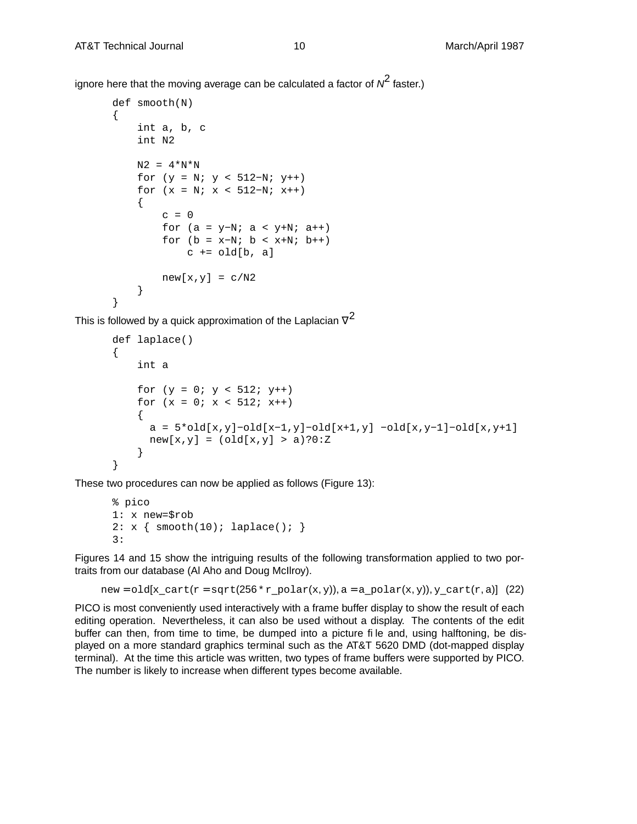ignore here that the moving average can be calculated a factor of  $\mathcal{N}^2$  faster.)

```
def smooth(N)
{
   int a, b, c
    int N2
   N2 = 4*N*Nfor (y = N; y < 512-N; y++)for (x = N; x < 512-N; x++)\{c = 0for (a = y-N; a < y+N; a++)for (b = x-N; b < x+N; b++)c += old[b, a]
       new[x,y] = c/N2}
}
```
This is followed by a quick approximation of the Laplacian  $\nabla^{\mathsf{2}}$ 

```
def laplace()
{
    int a
    for (y = 0; y < 512; y++)for (x = 0; x < 512; x++){
      a = 5 * old[x,y]-old[x-1,y]-old[x+1,y] -old[x,y-1]-old[x,y+1]new[x,y] = (old[x,y] > a)?0:Z}
}
```
These two procedures can now be applied as follows (Figure 13):

```
% pico
1: x new=$rob
2: x \{ smooth(10); laplace(); \}3:
```
Figures 14 and 15 show the intriguing results of the following transformation applied to two portraits from our database (Al Aho and Doug McIlroy).

 $new = old[x\_cart(r = sqrt(256 * r\_polar(x, y)), a = a\_polar(x, y)), y\_cart(r, a)]$  (22)

PICO is most conveniently used interactively with a frame buffer display to show the result of each editing operation. Nevertheless, it can also be used without a display. The contents of the edit buffer can then, from time to time, be dumped into a picture file and, using halftoning, be displayed on a more standard graphics terminal such as the AT&T 5620 DMD (dot-mapped display terminal). At the time this article was written, two types of frame buffers were supported by PICO. The number is likely to increase when different types become available.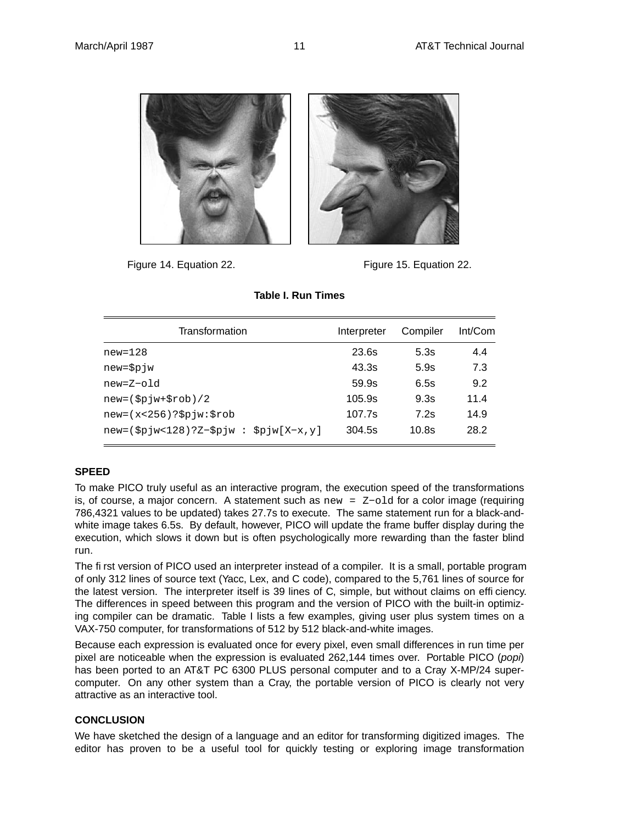

Figure 14. Equation 22. Figure 15. Equation 22.

|  |  | Table I. Run Times |
|--|--|--------------------|
|--|--|--------------------|

| Transformation                               | Interpreter | Compiler | Int/Com |
|----------------------------------------------|-------------|----------|---------|
| $new = 128$                                  | 23.6s       | 5.3s     | 4.4     |
| $new =$ $$$ p $iw$                           | 43.3s       | 5.9s     | 7.3     |
| $new = Z - 01d$                              | 59.9s       | 6.5s     | 9.2     |
| $new=(\text{Spiw+Stob})/2$                   | 105.9s      | 9.3s     | 11.4    |
| $new=(x<256)?$ spjw: $srob$                  | 107.7s      | 7.2s     | 14.9    |
| $new = ($ spjw<128)?Z-spjw : spjw $[X-x, y]$ | 304.5s      | 10.8s    | 28.2    |

# **SPEED**

To make PICO truly useful as an interactive program, the execution speed of the transformations is, of course, a major concern. A statement such as new = Z-old for a color image (requiring 786,4321 values to be updated) takes 27.7s to execute. The same statement run for a black-andwhite image takes 6.5s. By default, however, PICO will update the frame buffer display during the execution, which slows it down but is often psychologically more rewarding than the faster blind run.

The first version of PICO used an interpreter instead of a compiler. It is a small, portable program of only 312 lines of source text (Yacc, Lex, and C code), compared to the 5,761 lines of source for the latest version. The interpreter itself is 39 lines of C, simple, but without claims on efficiency. The differences in speed between this program and the version of PICO with the built-in optimizing compiler can be dramatic. Table I lists a few examples, giving user plus system times on a VAX-750 computer, for transformations of 512 by 512 black-and-white images.

Because each expression is evaluated once for every pixel, even small differences in run time per pixel are noticeable when the expression is evaluated 262,144 times over. Portable PICO (popi) has been ported to an AT&T PC 6300 PLUS personal computer and to a Cray X-MP/24 supercomputer. On any other system than a Cray, the portable version of PICO is clearly not very attractive as an interactive tool.

# **CONCLUSION**

We have sketched the design of a language and an editor for transforming digitized images. The editor has proven to be a useful tool for quickly testing or exploring image transformation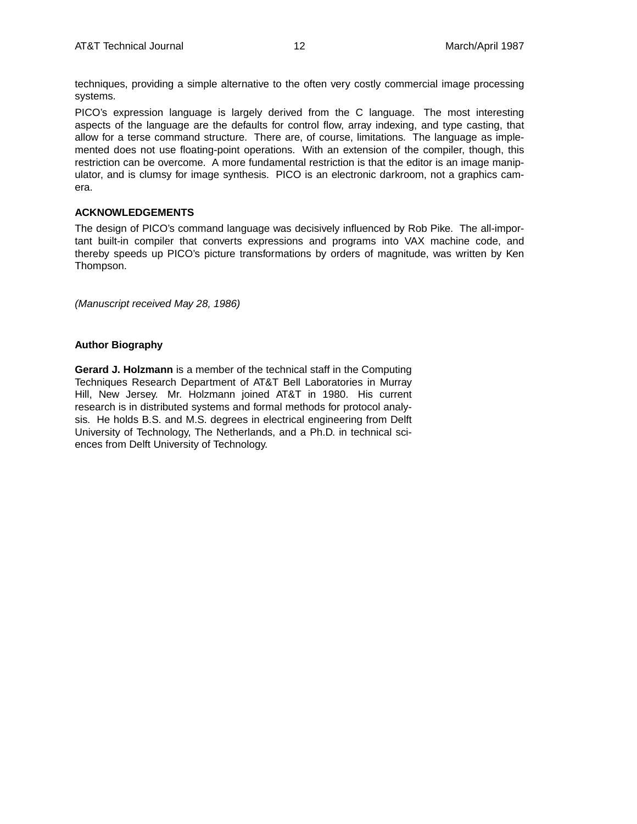techniques, providing a simple alternative to the often very costly commercial image processing systems.

PICO's expression language is largely derived from the C language. The most interesting aspects of the language are the defaults for control flow, array indexing, and type casting, that allow for a terse command structure. There are, of course, limitations. The language as implemented does not use floating-point operations. With an extension of the compiler, though, this restriction can be overcome. A more fundamental restriction is that the editor is an image manipulator, and is clumsy for image synthesis. PICO is an electronic darkroom, not a graphics camera.

# **ACKNOWLEDGEMENTS**

The design of PICO's command language was decisively influenced by Rob Pike. The all-important built-in compiler that converts expressions and programs into VAX machine code, and thereby speeds up PICO's picture transformations by orders of magnitude, was written by Ken Thompson.

(Manuscript received May 28, 1986)

# **Author Biography**

**Gerard J. Holzmann** is a member of the technical staff in the Computing Techniques Research Department of AT&T Bell Laboratories in Murray Hill, New Jersey. Mr. Holzmann joined AT&T in 1980. His current research is in distributed systems and formal methods for protocol analysis. He holds B.S. and M.S. degrees in electrical engineering from Delft University of Technology, The Netherlands, and a Ph.D. in technical sciences from Delft University of Technology.